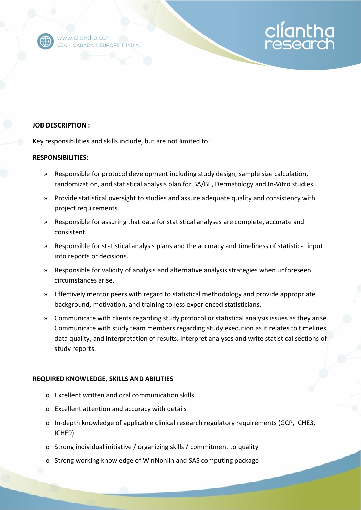

www.cliantha.com USA | CANADA | EUROPE | INDIA

## **JOB DESCRIPTION :**

Key responsibilities and skills include, but are not limited to:

## **RESPONSIBILITIES:**

» Responsible for protocol development including study design, sample size calculation, randomization, and statistical analysis plan for BA/BE, Dermatology and In-Vitro studies.

cliantha

- » Provide statistical oversight to studies and assure adequate quality and consistency with project requirements.
- » Responsible for assuring that data for statistical analyses are complete, accurate and consistent.
- » Responsible for statistical analysis plans and the accuracy and timeliness of statistical input into reports or decisions.
- » Responsible for validity of analysis and alternative analysis strategies when unforeseen circumstances arise.
- » Effectively mentor peers with regard to statistical methodology and provide appropriate background, motivation, and training to less experienced statisticians.
- » Communicate with clients regarding study protocol or statistical analysis issues as they arise. Communicate with study team members regarding study execution as it relates to timelines, data quality, and interpretation of results. Interpret analyses and write statistical sections of study reports.

## **REQUIRED KNOWLEDGE, SKILLS AND ABILITIES**

- o Excellent written and oral communication skills
- o Excellent attention and accuracy with details
- o In-depth knowledge of applicable clinical research regulatory requirements (GCP, ICHE3, ICHE9)
- o Strong individual initiative / organizing skills / commitment to quality
- o Strong working knowledge of WinNonlin and SAS computing package